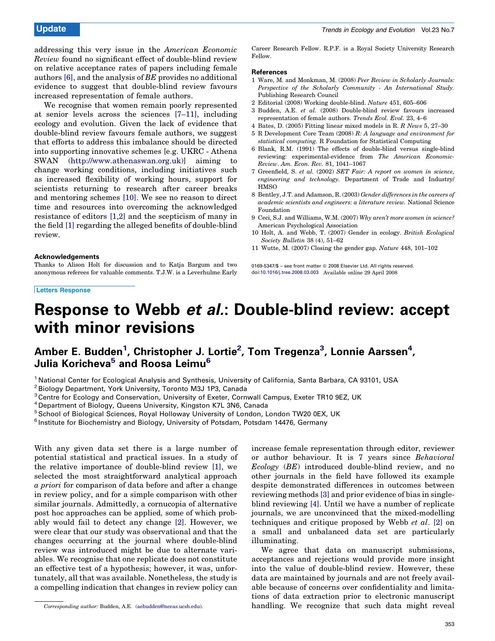addressing this very issue in the American Economic Review found no significant effect of double-blind review on relative acceptance rates of papers including female authors [6], and the analysis of BE provides no additional evidence to suggest that double-blind review favours increased representation of female authors.

We recognise that women remain poorly represented at senior levels across the sciences [7–11], including ecology and evolution. Given the lack of evidence that double-blind review favours female authors, we suggest that efforts to address this imbalance should be directed into supporting innovative schemes [e.g. UKRC - Athena SWAN ([http://www.athenaswan.org.uk](http://www.athenaswan.org.uk/))] aiming to change working conditions, including initiatives such as increased flexibility of working hours, support for scientists returning to research after career breaks and mentoring schemes [10]. We see no reason to direct time and resources into overcoming the acknowledged resistance of editors [1,2] and the scepticism of many in the field [1] regarding the alleged benefits of double-blind review.

## Acknowledgements

Thanks to Alison Holt for discussion and to Katja Bargum and two anonymous referees for valuable comments. T.J.W. is a Leverhulme Early

## Letters Response

Career Research Fellow. R.P.F. is a Royal Society University Research Fellow.

## References

- 1 Ware, M. and Monkman, M. (2008) Peer Review in Scholarly Journals: Perspective of the Scholarly Community - An International Study. Publishing Research Council
- 2 Editorial (2008) Working double-blind. Nature 451, 605–606
- 3 Budden, A.E. et al. (2008) Double-blind review favours increased representation of female authors. Trends Ecol. Evol. 23, 4–6
- 4 Bates, D. (2005) Fitting linear mixed models in R. R News 5, 27–30
- 5 R Development Core Team (2008) R: A language and environment for statistical computing. R Foundation for Statistical Computing
- 6 Blank, R.M. (1991) The effects of double-blind versus single-blind reviewing: experimental-evidence from The American Economic-Review. Am. Econ. Rev. 81, 1041–1067
- 7 Greenfield, S. et al. (2002) SET Fair: A report on women in science, engineering and technology. Department of Trade and Industry/ **HMSO**
- 8 Bentley, J.T. and Adamson, R. (2003) Gender differences in the careers of academic scientists and engineers: a literature review. National Science Foundation
- 9 Ceci, S.J. and Williams, W.M. (2007) Why aren't more women in science? American Psychological Association
- 10 Holt, A. and Webb, T. (2007) Gender in ecology. British Ecological Society Bulletin 38 (4), 51–62
- 11 Wutte, M. (2007) Closing the gender gap. Nature 448, 101–102

0169-5347/\$ - see front matter © 2008 Elsevier Ltd. All rights reserved. doi[:10.1016/j.tree.2008.03.003](http://dx.doi.org/10.1016/j.tree.2008.03.003) Available online 29 April 2008

# Response to Webb et al.: Double-blind review: accept with minor revisions

## Amber E. Budden $^1$  $^1$ , Christopher J. Lortie $^2$  $^2$ , Tom Tregenza $^3$ , Lonnie Aarssen $^4$ , Julia Koricheva<sup>5</sup> and Roosa Leimu<sup>6</sup>

<sup>1</sup> National Center for Ecological Analysis and Synthesis, University of California, Santa Barbara, CA 93101, USA

<sup>2</sup> Biology Department, York University, Toronto M3J 1P3, Canada

<sup>3</sup> Centre for Ecology and Conservation, University of Exeter, Cornwall Campus, Exeter TR10 9EZ, UK

<sup>4</sup> Department of Biology, Queens University, Kingston K7L 3N6, Canada

<sup>5</sup> School of Biological Sciences, Royal Holloway University of London, London TW20 0EX, UK

 $6$  Institute for Biochemistry and Biology, University of Potsdam, Potsdam 14476, Germany

With any given data set there is a large number of potential statistical and practical issues. In a study of the relative importance of double-blind review [\[1\]](#page-1-0), we selected the most straightforward analytical approach a priori for comparison of data before and after a change in review policy, and for a simple comparison with other similar journals. Admittedly, a cornucopia of alternative post hoc approaches can be applied, some of which probably would fail to detect any change [\[2\]](#page-1-0). However, we were clear that our study was observational and that the changes occurring at the journal where double-blind review was introduced might be due to alternate variables. We recognise that one replicate does not constitute an effective test of a hypothesis; however, it was, unfortunately, all that was available. Nonetheless, the study is a compelling indication that changes in review policy can

increase female representation through editor, reviewer or author behaviour. It is 7 years since Behavioral Ecology (BE) introduced double-blind review, and no other journals in the field have followed its example despite demonstrated differences in outcomes between reviewing methods [\[3\]](#page-1-0) and prior evidence of bias in singleblind reviewing [\[4\]](#page-1-0). Until we have a number of replicate journals, we are unconvinced that the mixed-modelling techniques and critique proposed by Webb et al. [\[2\]](#page-1-0) on a small and unbalanced data set are particularly illuminating.

We agree that data on manuscript submissions, acceptances and rejections would provide more insight into the value of double-blind review. However, these data are maintained by journals and are not freely available because of concerns over confidentiality and limitations of data extraction prior to electronic manuscript Corresponding author: Budden, A.E. ([aebudden@nceas.ucsb.edu](mailto:aebudden@nceas.ucsb.edu)). handling. We recognize that such data might reveal